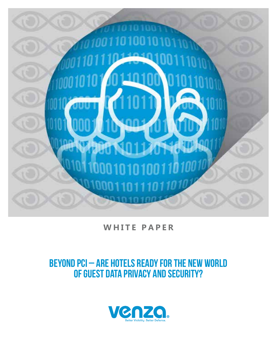

**WHITE PAPER**

# BEYOND PCI – ARE HOTELS READY FOR THE NEW WORLD OF GUEST DATA PRIVACY AND SECURITY?

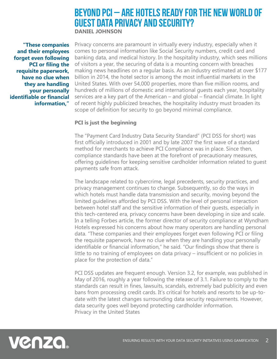## BEYOND PCI – ARE HOTELS READY FOR THE NEW WORLD OF GUEST DATA PRIVACY AND SECURITY? **DANIEL JOHNSON**

**"These companies and their employees forget even following PCI or filing the requisite paperwork, have no clue when they are handling your personally identifiable or financial information,"** 

Privacy concerns are paramount in virtually every industry, especially when it comes to personal information like Social Security numbers, credit card and banking data, and medical history. In the hospitality industry, which sees millions of visitors a year, the securing of data is a mounting concern with breaches making news headlines on a regular basis. As an industry estimated at over \$177 billion in 2014, the hotel sector is among the most influential markets in the United States. With over 54,000 properties, more than five million rooms, and hundreds of millions of domestic and international guests each year, hospitality services are a key part of the American – and global – financial climate. In light of recent highly publicized breaches, the hospitality industry must broaden its scope of definition for security to go beyond minimal compliance.

### **PCI is just the beginning**

The "Payment Card Industry Data Security Standard" (PCI DSS for short) was first officially introduced in 2001 and by late 2007 the first wave of a standard method for merchants to achieve PCI Compliance was in place. Since then, compliance standards have been at the forefront of precautionary measures, offering guidelines for keeping sensitive cardholder information related to guest payments safe from attack.

The landscape related to cybercrime, legal precedents, security practices, and privacy management continues to change. Subsequently, so do the ways in which hotels must handle data transmission and security, moving beyond the limited guidelines afforded by PCI DSS. With the level of personal interaction between hotel staff and the sensitive information of their guests, especially in this tech-centered era, privacy concerns have been developing in size and scale. In a telling Forbes article, the former director of security compliance at Wyndham Hotels expressed his concerns about how many operators are handling personal data. "These companies and their employees forget even following PCI or filing the requisite paperwork, have no clue when they are handling your personally identifiable or financial information," he said. "Our findings show that there is little to no training of employees on data privacy – insufficient or no policies in place for the protection of data."

PCI DSS updates are frequent enough. Version 3.2, for example, was published in May of 2016, roughly a year following the release of 3.1. Failure to comply to the standards can result in fines, lawsuits, scandals, extremely bad publicity and even bans from processing credit cards. It's critical for hotels and resorts to be up-todate with the latest changes surrounding data security requirements. However, data security goes well beyond protecting cardholder information. Privacy in the United States

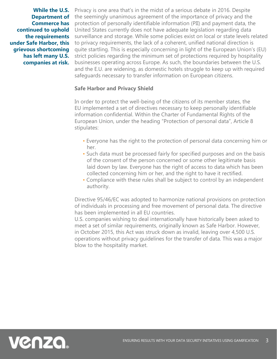**While the U.S. Commerce has continued to uphold the requirements under Safe Harbor, this grievous shortcoming has left many U.S. companies at risk.** 

Privacy is one area that's in the midst of a serious debate in 2016. Despite **Department of** the seemingly unanimous agreement of the importance of privacy and the protection of personally identifiable information (PII) and payment data, the United States currently does not have adequate legislation regarding data surveillance and storage. While some policies exist on local or state levels related to privacy requirements, the lack of a coherent, unified national direction is quite startling. This is especially concerning in light of the European Union's (EU) strict policies regarding the minimum set of protections required by hospitality businesses operating across Europe. As such, the boundaries between the U.S. and the E.U. are widening, as domestic hotels struggle to keep up with required safeguards necessary to transfer information on European citizens.

#### **Safe Harbor and Privacy Shield**

In order to protect the well-being of the citizens of its member states, the EU implemented a set of directives necessary to keep personally identifiable information confidential. Within the Charter of Fundamental Rights of the European Union, under the heading "Protection of personal data", Article 8 stipulates:

- Everyone has the right to the protection of personal data concerning him or her.
- Such data must be processed fairly for specified purposes and on the basis of the consent of the person concerned or some other legitimate basis laid down by law. Everyone has the right of access to data which has been collected concerning him or her, and the right to have it rectified.
- Compliance with these rules shall be subject to control by an independent authority.

Directive 95/46/EC was adopted to harmonize national provisions on protection of individuals in processing and free movement of personal data. The directive has been implemented in all EU countries.

U.S. companies wishing to deal internationally have historically been asked to meet a set of similar requirements, originally known as Safe Harbor. However, in October 2015, this Act was struck down as invalid, leaving over 4,500 U.S. operations without privacy guidelines for the transfer of data. This was a major blow to the hospitality market.

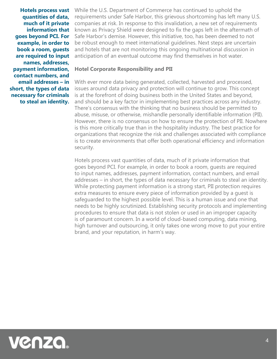**Hotels process vast quantities of data, much of it private information that goes beyond PCI. For example, in order to book a room, guests are required to input names, addresses, payment information, contact numbers, and email addresses – in short, the types of data necessary for criminals to steal an identity.** 

While the U.S. Department of Commerce has continued to uphold the requirements under Safe Harbor, this grievous shortcoming has left many U.S. companies at risk. In response to this invalidation, a new set of requirements known as Privacy Shield were designed to fix the gaps left in the aftermath of Safe Harbor's demise. However, this initiative, too, has been deemed to not be robust enough to meet international guidelines. Next steps are uncertain and hotels that are not monitoring this ongoing multinational discussion in anticipation of an eventual outcome may find themselves in hot water.

#### **Hotel Corporate Responsibility and PII**

With ever more data being generated, collected, harvested and processed, issues around data privacy and protection will continue to grow. This concept is at the forefront of doing business both in the United States and beyond, and should be a key factor in implementing best practices across any industry. There's consensus with the thinking that no business should be permitted to abuse, misuse, or otherwise, mishandle personally identifiable information (PII). However, there is no consensus on how to ensure the protection of PII. Nowhere is this more critically true than in the hospitality industry. The best practice for organizations that recognize the risk and challenges associated with compliance is to create environments that offer both operational efficiency and information security.

Hotels process vast quantities of data, much of it private information that goes beyond PCI. For example, in order to book a room, guests are required to input names, addresses, payment information, contact numbers, and email addresses – in short, the types of data necessary for criminals to steal an identity. While protecting payment information is a strong start, PII protection requires extra measures to ensure every piece of information provided by a guest is safeguarded to the highest possible level. This is a human issue and one that needs to be highly scrutinized. Establishing security protocols and implementing procedures to ensure that data is not stolen or used in an improper capacity is of paramount concern. In a world of cloud-based computing, data mining, high turnover and outsourcing, it only takes one wrong move to put your entire brand, and your reputation, in harm's way.